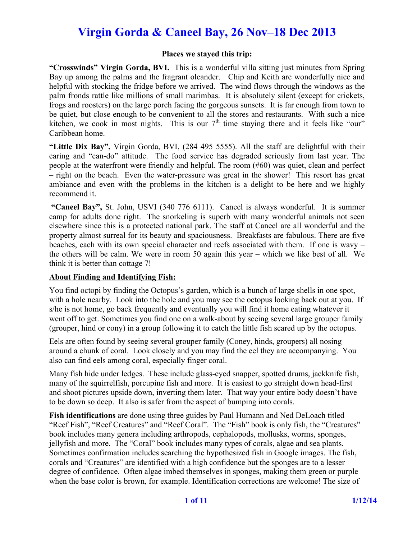#### **Places we stayed this trip:**

**"Crosswinds" Virgin Gorda, BVI.** This is a wonderful villa sitting just minutes from Spring Bay up among the palms and the fragrant oleander. Chip and Keith are wonderfully nice and helpful with stocking the fridge before we arrived. The wind flows through the windows as the palm fronds rattle like millions of small marimbas. It is absolutely silent (except for crickets, frogs and roosters) on the large porch facing the gorgeous sunsets. It is far enough from town to be quiet, but close enough to be convenient to all the stores and restaurants. With such a nice kitchen, we cook in most nights. This is our  $7<sup>th</sup>$  time staying there and it feels like "our" Caribbean home.

**"Little Dix Bay",** Virgin Gorda, BVI, (284 495 5555). All the staff are delightful with their caring and "can-do" attitude. The food service has degraded seriously from last year. The people at the waterfront were friendly and helpful. The room (#60) was quiet, clean and perfect – right on the beach. Even the water-pressure was great in the shower! This resort has great ambiance and even with the problems in the kitchen is a delight to be here and we highly recommend it.

**"Caneel Bay",** St. John, USVI (340 776 6111). Caneel is always wonderful. It is summer camp for adults done right. The snorkeling is superb with many wonderful animals not seen elsewhere since this is a protected national park. The staff at Caneel are all wonderful and the property almost surreal for its beauty and spaciousness. Breakfasts are fabulous. There are five beaches, each with its own special character and reefs associated with them. If one is wavy – the others will be calm. We were in room 50 again this year – which we like best of all. We think it is better than cottage 7!

#### **About Finding and Identifying Fish:**

You find octopi by finding the Octopus's garden, which is a bunch of large shells in one spot, with a hole nearby. Look into the hole and you may see the octopus looking back out at you. If s/he is not home, go back frequently and eventually you will find it home eating whatever it went off to get. Sometimes you find one on a walk-about by seeing several large grouper family (grouper, hind or cony) in a group following it to catch the little fish scared up by the octopus.

Eels are often found by seeing several grouper family (Coney, hinds, groupers) all nosing around a chunk of coral. Look closely and you may find the eel they are accompanying. You also can find eels among coral, especially finger coral.

Many fish hide under ledges. These include glass-eyed snapper, spotted drums, jackknife fish, many of the squirrelfish, porcupine fish and more. It is easiest to go straight down head-first and shoot pictures upside down, inverting them later. That way your entire body doesn't have to be down so deep. It also is safer from the aspect of bumping into corals.

**Fish identifications** are done using three guides by Paul Humann and Ned DeLoach titled "Reef Fish", "Reef Creatures" and "Reef Coral". The "Fish" book is only fish, the "Creatures" book includes many genera including arthropods, cephalopods, mollusks, worms, sponges, jellyfish and more. The "Coral" book includes many types of corals, algae and sea plants. Sometimes confirmation includes searching the hypothesized fish in Google images. The fish, corals and "Creatures" are identified with a high confidence but the sponges are to a lesser degree of confidence. Often algae imbed themselves in sponges, making them green or purple when the base color is brown, for example. Identification corrections are welcome! The size of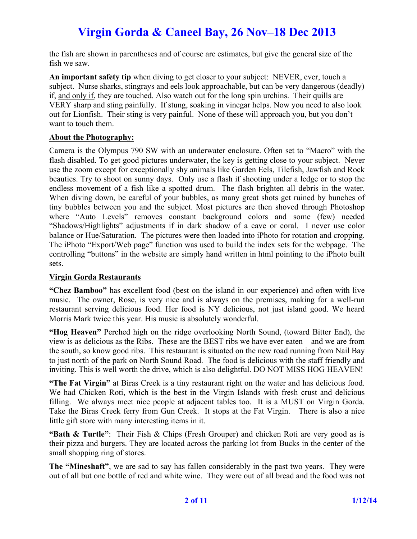the fish are shown in parentheses and of course are estimates, but give the general size of the fish we saw.

**An important safety tip** when diving to get closer to your subject: NEVER, ever, touch a subject. Nurse sharks, stingrays and eels look approachable, but can be very dangerous (deadly) if, and only if, they are touched. Also watch out for the long spin urchins. Their quills are VERY sharp and sting painfully. If stung, soaking in vinegar helps. Now you need to also look out for Lionfish. Their sting is very painful. None of these will approach you, but you don't want to touch them.

#### **About the Photography:**

Camera is the Olympus 790 SW with an underwater enclosure. Often set to "Macro" with the flash disabled. To get good pictures underwater, the key is getting close to your subject. Never use the zoom except for exceptionally shy animals like Garden Eels, Tilefish, Jawfish and Rock beauties. Try to shoot on sunny days. Only use a flash if shooting under a ledge or to stop the endless movement of a fish like a spotted drum. The flash brighten all debris in the water. When diving down, be careful of your bubbles, as many great shots get ruined by bunches of tiny bubbles between you and the subject. Most pictures are then shoved through Photoshop where "Auto Levels" removes constant background colors and some (few) needed "Shadows/Highlights" adjustments if in dark shadow of a cave or coral. I never use color balance or Hue/Saturation. The pictures were then loaded into iPhoto for rotation and cropping. The iPhoto "Export/Web page" function was used to build the index sets for the webpage. The controlling "buttons" in the website are simply hand written in html pointing to the iPhoto built sets.

#### **Virgin Gorda Restaurants**

**"Chez Bamboo"** has excellent food (best on the island in our experience) and often with live music. The owner, Rose, is very nice and is always on the premises, making for a well-run restaurant serving delicious food. Her food is NY delicious, not just island good. We heard Morris Mark twice this year. His music is absolutely wonderful.

**"Hog Heaven"** Perched high on the ridge overlooking North Sound, (toward Bitter End), the view is as delicious as the Ribs. These are the BEST ribs we have ever eaten – and we are from the south, so know good ribs. This restaurant is situated on the new road running from Nail Bay to just north of the park on North Sound Road. The food is delicious with the staff friendly and inviting. This is well worth the drive, which is also delightful. DO NOT MISS HOG HEAVEN!

**"The Fat Virgin"** at Biras Creek is a tiny restaurant right on the water and has delicious food. We had Chicken Roti, which is the best in the Virgin Islands with fresh crust and delicious filling. We always meet nice people at adjacent tables too. It is a MUST on Virgin Gorda. Take the Biras Creek ferry from Gun Creek. It stops at the Fat Virgin. There is also a nice little gift store with many interesting items in it.

**"Bath & Turtle"**: Their Fish & Chips (Fresh Grouper) and chicken Roti are very good as is their pizza and burgers. They are located across the parking lot from Bucks in the center of the small shopping ring of stores.

**The "Mineshaft"**, we are sad to say has fallen considerably in the past two years. They were out of all but one bottle of red and white wine. They were out of all bread and the food was not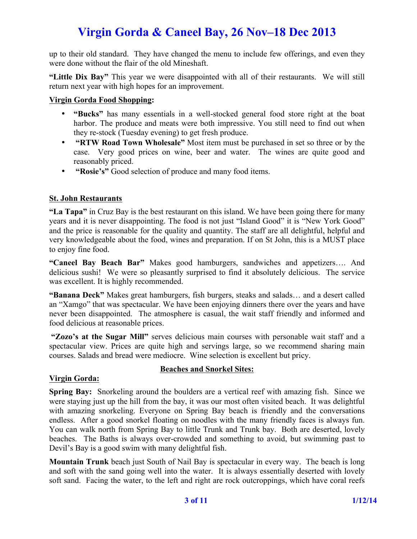up to their old standard. They have changed the menu to include few offerings, and even they were done without the flair of the old Mineshaft.

**"Little Dix Bay"** This year we were disappointed with all of their restaurants. We will still return next year with high hopes for an improvement.

### **Virgin Gorda Food Shopping:**

- **"Bucks"** has many essentials in a well-stocked general food store right at the boat harbor. The produce and meats were both impressive. You still need to find out when they re-stock (Tuesday evening) to get fresh produce.
- **"RTW Road Town Wholesale"** Most item must be purchased in set so three or by the case. Very good prices on wine, beer and water. The wines are quite good and reasonably priced.
- **"Rosie's"** Good selection of produce and many food items.

### **St. John Restaurants**

**"La Tapa"** in Cruz Bay is the best restaurant on this island. We have been going there for many years and it is never disappointing. The food is not just "Island Good" it is "New York Good" and the price is reasonable for the quality and quantity. The staff are all delightful, helpful and very knowledgeable about the food, wines and preparation. If on St John, this is a MUST place to enjoy fine food.

**"Caneel Bay Beach Bar"** Makes good hamburgers, sandwiches and appetizers…. And delicious sushi! We were so pleasantly surprised to find it absolutely delicious. The service was excellent. It is highly recommended.

**"Banana Deck"** Makes great hamburgers, fish burgers, steaks and salads… and a desert called an "Xamgo" that was spectacular. We have been enjoying dinners there over the years and have never been disappointed. The atmosphere is casual, the wait staff friendly and informed and food delicious at reasonable prices.

**"Zozo's at the Sugar Mill"** serves delicious main courses with personable wait staff and a spectacular view. Prices are quite high and servings large, so we recommend sharing main courses. Salads and bread were mediocre. Wine selection is excellent but pricy.

### **Virgin Gorda:**

### **Beaches and Snorkel Sites:**

**Spring Bay:** Snorkeling around the boulders are a vertical reef with amazing fish. Since we were staying just up the hill from the bay, it was our most often visited beach. It was delightful with amazing snorkeling. Everyone on Spring Bay beach is friendly and the conversations endless. After a good snorkel floating on noodles with the many friendly faces is always fun. You can walk north from Spring Bay to little Trunk and Trunk bay. Both are deserted, lovely beaches. The Baths is always over-crowded and something to avoid, but swimming past to Devil's Bay is a good swim with many delightful fish.

**Mountain Trunk** beach just South of Nail Bay is spectacular in every way. The beach is long and soft with the sand going well into the water. It is always essentially deserted with lovely soft sand. Facing the water, to the left and right are rock outcroppings, which have coral reefs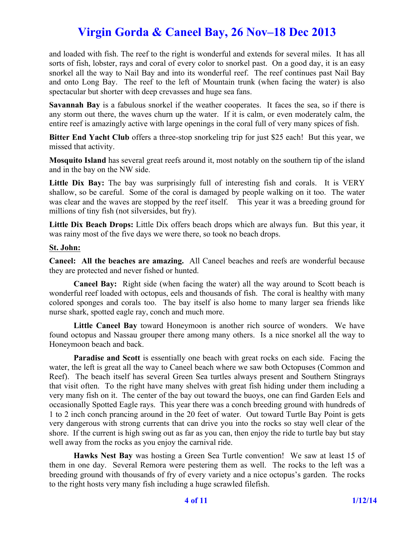and loaded with fish. The reef to the right is wonderful and extends for several miles. It has all sorts of fish, lobster, rays and coral of every color to snorkel past. On a good day, it is an easy snorkel all the way to Nail Bay and into its wonderful reef. The reef continues past Nail Bay and onto Long Bay. The reef to the left of Mountain trunk (when facing the water) is also spectacular but shorter with deep crevasses and huge sea fans.

**Savannah Bay** is a fabulous snorkel if the weather cooperates. It faces the sea, so if there is any storm out there, the waves churn up the water. If it is calm, or even moderately calm, the entire reef is amazingly active with large openings in the coral full of very many spices of fish.

**Bitter End Yacht Club** offers a three-stop snorkeling trip for just \$25 each! But this year, we missed that activity.

**Mosquito Island** has several great reefs around it, most notably on the southern tip of the island and in the bay on the NW side.

Little Dix Bay: The bay was surprisingly full of interesting fish and corals. It is VERY shallow, so be careful. Some of the coral is damaged by people walking on it too. The water was clear and the waves are stopped by the reef itself. This year it was a breeding ground for millions of tiny fish (not silversides, but fry).

**Little Dix Beach Drops:** Little Dix offers beach drops which are always fun. But this year, it was rainy most of the five days we were there, so took no beach drops.

#### **St. John:**

**Caneel: All the beaches are amazing.** All Caneel beaches and reefs are wonderful because they are protected and never fished or hunted.

**Caneel Bay:** Right side (when facing the water) all the way around to Scott beach is wonderful reef loaded with octopus, eels and thousands of fish. The coral is healthy with many colored sponges and corals too. The bay itself is also home to many larger sea friends like nurse shark, spotted eagle ray, conch and much more.

**Little Caneel Bay** toward Honeymoon is another rich source of wonders. We have found octopus and Nassau grouper there among many others. Is a nice snorkel all the way to Honeymoon beach and back.

**Paradise and Scott** is essentially one beach with great rocks on each side. Facing the water, the left is great all the way to Caneel beach where we saw both Octopuses (Common and Reef). The beach itself has several Green Sea turtles always present and Southern Stingrays that visit often. To the right have many shelves with great fish hiding under them including a very many fish on it. The center of the bay out toward the buoys, one can find Garden Eels and occasionally Spotted Eagle rays. This year there was a conch breeding ground with hundreds of 1 to 2 inch conch prancing around in the 20 feet of water. Out toward Turtle Bay Point is gets very dangerous with strong currents that can drive you into the rocks so stay well clear of the shore. If the current is high swing out as far as you can, then enjoy the ride to turtle bay but stay well away from the rocks as you enjoy the carnival ride.

**Hawks Nest Bay** was hosting a Green Sea Turtle convention! We saw at least 15 of them in one day. Several Remora were pestering them as well. The rocks to the left was a breeding ground with thousands of fry of every variety and a nice octopus's garden. The rocks to the right hosts very many fish including a huge scrawled filefish.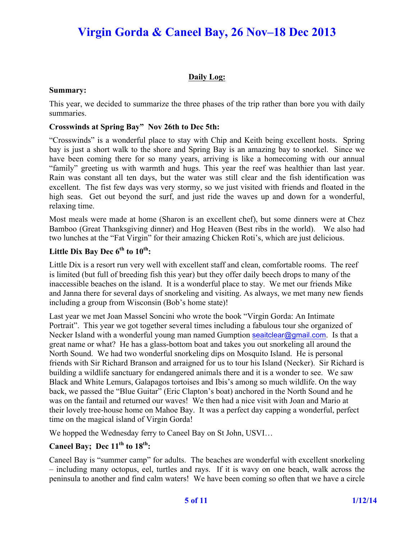## **Daily Log:**

#### **Summary:**

This year, we decided to summarize the three phases of the trip rather than bore you with daily summaries.

#### **Crosswinds at Spring Bay" Nov 26th to Dec 5th:**

"Crosswinds" is a wonderful place to stay with Chip and Keith being excellent hosts. Spring bay is just a short walk to the shore and Spring Bay is an amazing bay to snorkel. Since we have been coming there for so many years, arriving is like a homecoming with our annual "family" greeting us with warmth and hugs. This year the reef was healthier than last year. Rain was constant all ten days, but the water was still clear and the fish identification was excellent. The fist few days was very stormy, so we just visited with friends and floated in the high seas. Get out beyond the surf, and just ride the waves up and down for a wonderful, relaxing time.

Most meals were made at home (Sharon is an excellent chef), but some dinners were at Chez Bamboo (Great Thanksgiving dinner) and Hog Heaven (Best ribs in the world). We also had two lunches at the "Fat Virgin" for their amazing Chicken Roti's, which are just delicious.

# **Little Dix Bay Dec 6th to 10th:**

Little Dix is a resort run very well with excellent staff and clean, comfortable rooms. The reef is limited (but full of breeding fish this year) but they offer daily beech drops to many of the inaccessible beaches on the island. It is a wonderful place to stay. We met our friends Mike and Janna there for several days of snorkeling and visiting. As always, we met many new fiends including a group from Wisconsin (Bob's home state)!

Last year we met Joan Massel Soncini who wrote the book "Virgin Gorda: An Intimate Portrait". This year we got together several times including a fabulous tour she organized of Necker Island with a wonderful young man named Gumption seaitclear@gmail.com. Is that a great name or what? He has a glass-bottom boat and takes you out snorkeling all around the North Sound. We had two wonderful snorkeling dips on Mosquito Island. He is personal friends with Sir Richard Branson and arraigned for us to tour his Island (Necker). Sir Richard is building a wildlife sanctuary for endangered animals there and it is a wonder to see. We saw Black and White Lemurs, Galapagos tortoises and Ibis's among so much wildlife. On the way back, we passed the "Blue Guitar" (Eric Clapton's boat) anchored in the North Sound and he was on the fantail and returned our waves! We then had a nice visit with Joan and Mario at their lovely tree-house home on Mahoe Bay. It was a perfect day capping a wonderful, perfect time on the magical island of Virgin Gorda!

We hopped the Wednesday ferry to Caneel Bay on St John, USVI…

# **Caneel Bay; Dec 11th to 18th:**

Caneel Bay is "summer camp" for adults. The beaches are wonderful with excellent snorkeling – including many octopus, eel, turtles and rays. If it is wavy on one beach, walk across the peninsula to another and find calm waters! We have been coming so often that we have a circle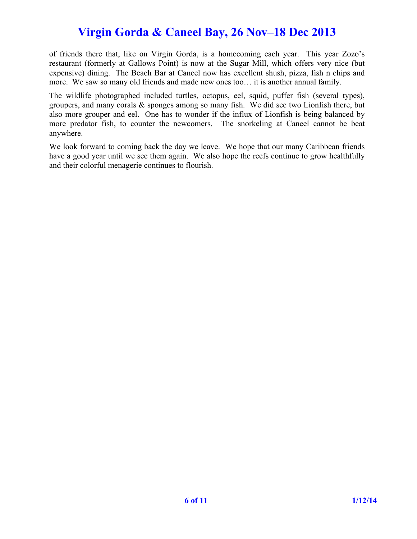of friends there that, like on Virgin Gorda, is a homecoming each year. This year Zozo's restaurant (formerly at Gallows Point) is now at the Sugar Mill, which offers very nice (but expensive) dining. The Beach Bar at Caneel now has excellent shush, pizza, fish n chips and more. We saw so many old friends and made new ones too… it is another annual family.

The wildlife photographed included turtles, octopus, eel, squid, puffer fish (several types), groupers, and many corals & sponges among so many fish. We did see two Lionfish there, but also more grouper and eel. One has to wonder if the influx of Lionfish is being balanced by more predator fish, to counter the newcomers. The snorkeling at Caneel cannot be beat anywhere.

We look forward to coming back the day we leave. We hope that our many Caribbean friends have a good year until we see them again. We also hope the reefs continue to grow healthfully and their colorful menagerie continues to flourish.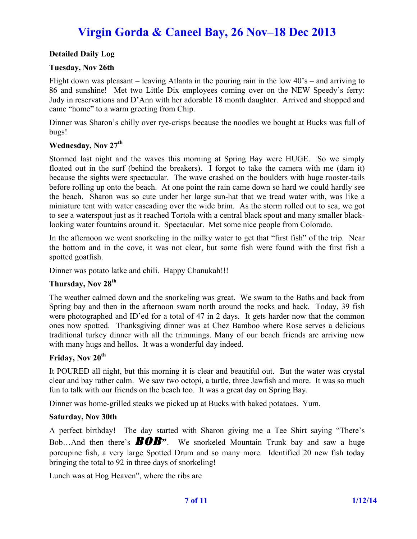### **Detailed Daily Log**

#### **Tuesday, Nov 26th**

Flight down was pleasant – leaving Atlanta in the pouring rain in the low  $40^{\circ}$ s – and arriving to 86 and sunshine! Met two Little Dix employees coming over on the NEW Speedy's ferry: Judy in reservations and D'Ann with her adorable 18 month daughter. Arrived and shopped and came "home" to a warm greeting from Chip.

Dinner was Sharon's chilly over rye-crisps because the noodles we bought at Bucks was full of bugs!

#### **Wednesday, Nov 27th**

Stormed last night and the waves this morning at Spring Bay were HUGE. So we simply floated out in the surf (behind the breakers). I forgot to take the camera with me (darn it) because the sights were spectacular. The wave crashed on the boulders with huge rooster-tails before rolling up onto the beach. At one point the rain came down so hard we could hardly see the beach. Sharon was so cute under her large sun-hat that we tread water with, was like a miniature tent with water cascading over the wide brim. As the storm rolled out to sea, we got to see a waterspout just as it reached Tortola with a central black spout and many smaller blacklooking water fountains around it. Spectacular. Met some nice people from Colorado.

In the afternoon we went snorkeling in the milky water to get that "first fish" of the trip. Near the bottom and in the cove, it was not clear, but some fish were found with the first fish a spotted goatfish.

Dinner was potato latke and chili. Happy Chanukah!!!

## **Thursday, Nov 28th**

The weather calmed down and the snorkeling was great. We swam to the Baths and back from Spring bay and then in the afternoon swam north around the rocks and back. Today, 39 fish were photographed and ID'ed for a total of 47 in 2 days. It gets harder now that the common ones now spotted. Thanksgiving dinner was at Chez Bamboo where Rose serves a delicious traditional turkey dinner with all the trimmings. Many of our beach friends are arriving now with many hugs and hellos. It was a wonderful day indeed.

#### Friday, Nov 20<sup>th</sup>

It POURED all night, but this morning it is clear and beautiful out. But the water was crystal clear and bay rather calm. We saw two octopi, a turtle, three Jawfish and more. It was so much fun to talk with our friends on the beach too. It was a great day on Spring Bay.

Dinner was home-grilled steaks we picked up at Bucks with baked potatoes. Yum.

#### **Saturday, Nov 30th**

A perfect birthday! The day started with Sharon giving me a Tee Shirt saying "There's Bob...And then there's **BOB**". We snorkeled Mountain Trunk bay and saw a huge porcupine fish, a very large Spotted Drum and so many more. Identified 20 new fish today bringing the total to 92 in three days of snorkeling!

Lunch was at Hog Heaven", where the ribs are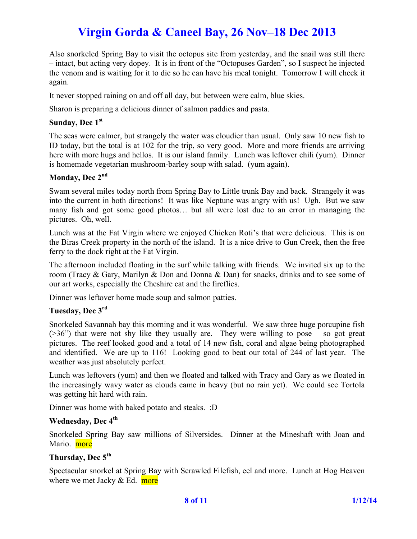Also snorkeled Spring Bay to visit the octopus site from yesterday, and the snail was still there – intact, but acting very dopey. It is in front of the "Octopuses Garden", so I suspect he injected the venom and is waiting for it to die so he can have his meal tonight. Tomorrow I will check it again.

It never stopped raining on and off all day, but between were calm, blue skies.

Sharon is preparing a delicious dinner of salmon paddies and pasta.

#### Sunday, Dec 1<sup>st</sup>

The seas were calmer, but strangely the water was cloudier than usual. Only saw 10 new fish to ID today, but the total is at 102 for the trip, so very good. More and more friends are arriving here with more hugs and hellos. It is our island family. Lunch was leftover chili (yum). Dinner is homemade vegetarian mushroom-barley soup with salad. (yum again).

## **Monday, Dec 2nd**

Swam several miles today north from Spring Bay to Little trunk Bay and back. Strangely it was into the current in both directions! It was like Neptune was angry with us! Ugh. But we saw many fish and got some good photos… but all were lost due to an error in managing the pictures. Oh, well.

Lunch was at the Fat Virgin where we enjoyed Chicken Roti's that were delicious. This is on the Biras Creek property in the north of the island. It is a nice drive to Gun Creek, then the free ferry to the dock right at the Fat Virgin.

The afternoon included floating in the surf while talking with friends. We invited six up to the room (Tracy & Gary, Marilyn & Don and Donna & Dan) for snacks, drinks and to see some of our art works, especially the Cheshire cat and the fireflies.

Dinner was leftover home made soup and salmon patties.

#### **Tuesday, Dec 3rd**

Snorkeled Savannah bay this morning and it was wonderful. We saw three huge porcupine fish  $($ >36") that were not shy like they usually are. They were willing to pose – so got great pictures. The reef looked good and a total of 14 new fish, coral and algae being photographed and identified. We are up to 116! Looking good to beat our total of 244 of last year. The weather was just absolutely perfect.

Lunch was leftovers (yum) and then we floated and talked with Tracy and Gary as we floated in the increasingly wavy water as clouds came in heavy (but no rain yet). We could see Tortola was getting hit hard with rain.

Dinner was home with baked potato and steaks. :D

#### Wednesday, Dec 4<sup>th</sup>

Snorkeled Spring Bay saw millions of Silversides. Dinner at the Mineshaft with Joan and Mario. more

#### Thursday, Dec 5<sup>th</sup>

Spectacular snorkel at Spring Bay with Scrawled Filefish, eel and more. Lunch at Hog Heaven where we met Jacky  $& Ed.$  more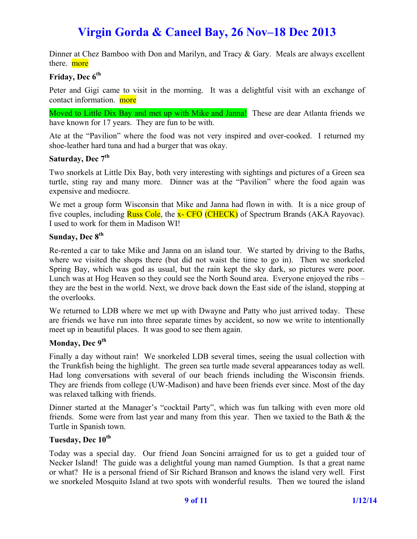Dinner at Chez Bamboo with Don and Marilyn, and Tracy & Gary. Meals are always excellent there. more

## **Friday, Dec 6<sup>th</sup>**

Peter and Gigi came to visit in the morning. It was a delightful visit with an exchange of contact information. more

Moved to Little Dix Bay and met up with Mike and Janna! These are dear Atlanta friends we have known for 17 years. They are fun to be with.

Ate at the "Pavilion" where the food was not very inspired and over-cooked. I returned my shoe-leather hard tuna and had a burger that was okay.

## Saturday, Dec 7<sup>th</sup>

Two snorkels at Little Dix Bay, both very interesting with sightings and pictures of a Green sea turtle, sting ray and many more. Dinner was at the "Pavilion" where the food again was expensive and mediocre.

We met a group form Wisconsin that Mike and Janna had flown in with. It is a nice group of five couples, including **Russ Cole**, the **x- CFO** (CHECK) of Spectrum Brands (AKA Rayovac). I used to work for them in Madison WI!

## **Sunday, Dec 8<sup>th</sup>**

Re-rented a car to take Mike and Janna on an island tour. We started by driving to the Baths, where we visited the shops there (but did not waist the time to go in). Then we snorkeled Spring Bay, which was god as usual, but the rain kept the sky dark, so pictures were poor. Lunch was at Hog Heaven so they could see the North Sound area. Everyone enjoyed the ribs – they are the best in the world. Next, we drove back down the East side of the island, stopping at the overlooks.

We returned to LDB where we met up with Dwayne and Patty who just arrived today. These are friends we have run into three separate times by accident, so now we write to intentionally meet up in beautiful places. It was good to see them again.

### Monday, Dec 9<sup>th</sup>

Finally a day without rain! We snorkeled LDB several times, seeing the usual collection with the Trunkfish being the highlight. The green sea turtle made several appearances today as well. Had long conversations with several of our beach friends including the Wisconsin friends. They are friends from college (UW-Madison) and have been friends ever since. Most of the day was relaxed talking with friends.

Dinner started at the Manager's "cocktail Party", which was fun talking with even more old friends. Some were from last year and many from this year. Then we taxied to the Bath & the Turtle in Spanish town.

## Tuesday, Dec 10<sup>th</sup>

Today was a special day. Our friend Joan Soncini arraigned for us to get a guided tour of Necker Island! The guide was a delightful young man named Gumption. Is that a great name or what? He is a personal friend of Sir Richard Branson and knows the island very well. First we snorkeled Mosquito Island at two spots with wonderful results. Then we toured the island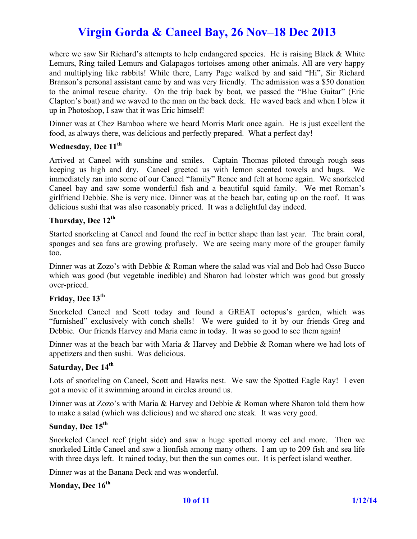where we saw Sir Richard's attempts to help endangered species. He is raising Black & White Lemurs, Ring tailed Lemurs and Galapagos tortoises among other animals. All are very happy and multiplying like rabbits! While there, Larry Page walked by and said "Hi", Sir Richard Branson's personal assistant came by and was very friendly. The admission was a \$50 donation to the animal rescue charity. On the trip back by boat, we passed the "Blue Guitar" (Eric Clapton's boat) and we waved to the man on the back deck. He waved back and when I blew it up in Photoshop, I saw that it was Eric himself!

Dinner was at Chez Bamboo where we heard Morris Mark once again. He is just excellent the food, as always there, was delicious and perfectly prepared. What a perfect day!

#### Wednesday, Dec 11<sup>th</sup>

Arrived at Caneel with sunshine and smiles. Captain Thomas piloted through rough seas keeping us high and dry. Caneel greeted us with lemon scented towels and hugs. We immediately ran into some of our Caneel "family" Renee and felt at home again. We snorkeled Caneel bay and saw some wonderful fish and a beautiful squid family. We met Roman's girlfriend Debbie. She is very nice. Dinner was at the beach bar, eating up on the roof. It was delicious sushi that was also reasonably priced. It was a delightful day indeed.

## **Thursday, Dec 12th**

Started snorkeling at Caneel and found the reef in better shape than last year. The brain coral, sponges and sea fans are growing profusely. We are seeing many more of the grouper family too.

Dinner was at Zozo's with Debbie & Roman where the salad was vial and Bob had Osso Bucco which was good (but vegetable inedible) and Sharon had lobster which was good but grossly over-priced.

## Friday, Dec 13<sup>th</sup>

Snorkeled Caneel and Scott today and found a GREAT octopus's garden, which was "furnished" exclusively with conch shells! We were guided to it by our friends Greg and Debbie. Our friends Harvey and Maria came in today. It was so good to see them again!

Dinner was at the beach bar with Maria & Harvey and Debbie & Roman where we had lots of appetizers and then sushi. Was delicious.

## Saturday, Dec 14<sup>th</sup>

Lots of snorkeling on Caneel, Scott and Hawks nest. We saw the Spotted Eagle Ray! I even got a movie of it swimming around in circles around us.

Dinner was at Zozo's with Maria & Harvey and Debbie & Roman where Sharon told them how to make a salad (which was delicious) and we shared one steak. It was very good.

# **Sunday, Dec 15th**

Snorkeled Caneel reef (right side) and saw a huge spotted moray eel and more. Then we snorkeled Little Caneel and saw a lionfish among many others. I am up to 209 fish and sea life with three days left. It rained today, but then the sun comes out. It is perfect island weather.

Dinner was at the Banana Deck and was wonderful.

## Monday, Dec  $16^{th}$